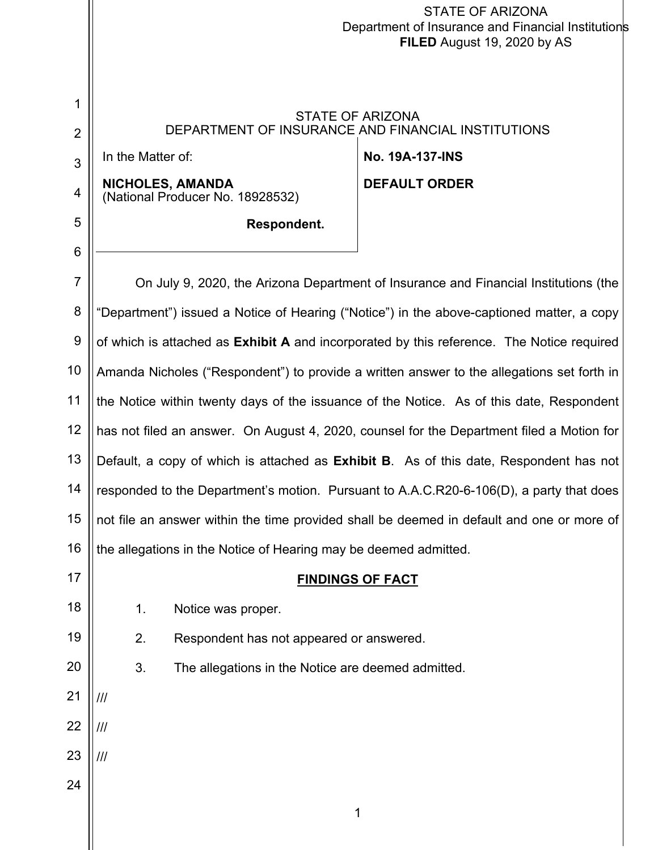|                | STATE OF ARIZONA<br>Department of Insurance and Financial Institutions<br>FILED August 19, 2020 by AS |                                                      |                                                                                           |
|----------------|-------------------------------------------------------------------------------------------------------|------------------------------------------------------|-------------------------------------------------------------------------------------------|
|                |                                                                                                       |                                                      |                                                                                           |
| 1              |                                                                                                       |                                                      | <b>STATE OF ARIZONA</b>                                                                   |
| $\overline{2}$ |                                                                                                       | DEPARTMENT OF INSURANCE AND FINANCIAL INSTITUTIONS   |                                                                                           |
| 3              | In the Matter of:                                                                                     |                                                      | <b>No. 19A-137-INS</b>                                                                    |
| 4              |                                                                                                       | NICHOLES, AMANDA<br>(National Producer No. 18928532) | <b>DEFAULT ORDER</b>                                                                      |
| 5              |                                                                                                       | Respondent.                                          |                                                                                           |
| 6              |                                                                                                       |                                                      |                                                                                           |
| $\overline{7}$ |                                                                                                       |                                                      | On July 9, 2020, the Arizona Department of Insurance and Financial Institutions (the      |
| 8              |                                                                                                       |                                                      | "Department") issued a Notice of Hearing ("Notice") in the above-captioned matter, a copy |
| 9              |                                                                                                       |                                                      | of which is attached as Exhibit A and incorporated by this reference. The Notice required |
| 10             | Amanda Nicholes ("Respondent") to provide a written answer to the allegations set forth in            |                                                      |                                                                                           |
| 11             | the Notice within twenty days of the issuance of the Notice. As of this date, Respondent              |                                                      |                                                                                           |
| 12             | has not filed an answer. On August 4, 2020, counsel for the Department filed a Motion for             |                                                      |                                                                                           |
| 13             | Default, a copy of which is attached as Exhibit B. As of this date, Respondent has not                |                                                      |                                                                                           |
| 14             | responded to the Department's motion. Pursuant to A.A.C.R20-6-106(D), a party that does               |                                                      |                                                                                           |
| 15             | not file an answer within the time provided shall be deemed in default and one or more of             |                                                      |                                                                                           |
| 16             | the allegations in the Notice of Hearing may be deemed admitted.                                      |                                                      |                                                                                           |
| 17             | <b>FINDINGS OF FACT</b>                                                                               |                                                      |                                                                                           |
| 18             | 1.                                                                                                    | Notice was proper.                                   |                                                                                           |
| 19             | 2.                                                                                                    | Respondent has not appeared or answered.             |                                                                                           |
| 20             | 3.                                                                                                    | The allegations in the Notice are deemed admitted.   |                                                                                           |
| 21             | ///                                                                                                   |                                                      |                                                                                           |
| 22             | ///                                                                                                   |                                                      |                                                                                           |
| 23             | $^{\prime\prime\prime}$                                                                               |                                                      |                                                                                           |
| 24             |                                                                                                       |                                                      |                                                                                           |
|                |                                                                                                       |                                                      | 1                                                                                         |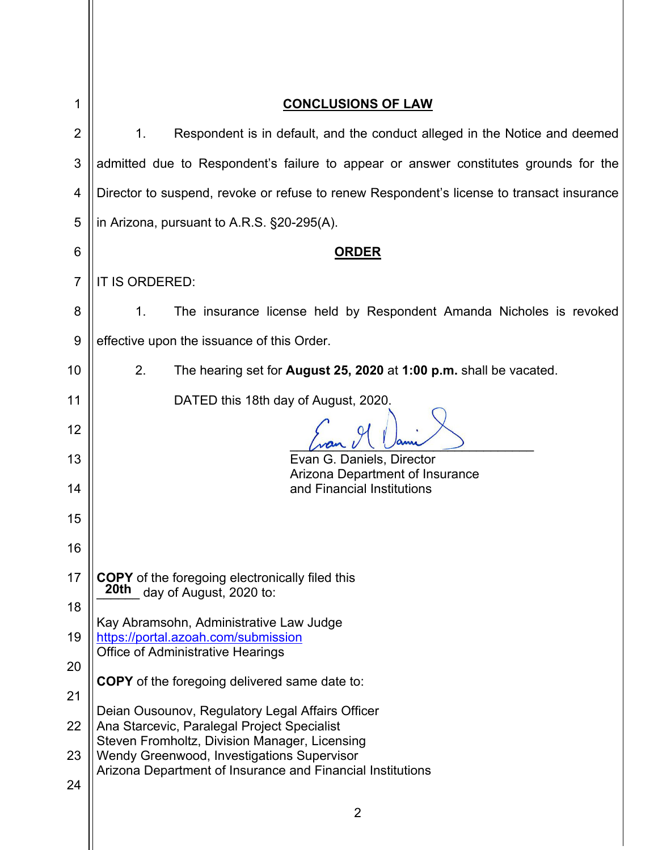| 1              | <b>CONCLUSIONS OF LAW</b>                                                                                |  |
|----------------|----------------------------------------------------------------------------------------------------------|--|
| 2              | 1.<br>Respondent is in default, and the conduct alleged in the Notice and deemed                         |  |
| 3              | admitted due to Respondent's failure to appear or answer constitutes grounds for the                     |  |
| 4              | Director to suspend, revoke or refuse to renew Respondent's license to transact insurance                |  |
| 5              | in Arizona, pursuant to A.R.S. §20-295(A).                                                               |  |
| 6              | <u>ORDER</u>                                                                                             |  |
| $\overline{7}$ | IT IS ORDERED:                                                                                           |  |
| 8              | The insurance license held by Respondent Amanda Nicholes is revoked<br>1.                                |  |
| 9              | effective upon the issuance of this Order.                                                               |  |
| 10             | 2.<br>The hearing set for <b>August 25, 2020</b> at 1:00 p.m. shall be vacated.                          |  |
| 11             | DATED this 18th day of August, 2020.                                                                     |  |
| 12             |                                                                                                          |  |
| 13             | Evan G. Daniels, Director<br>Arizona Department of Insurance                                             |  |
| 14             | and Financial Institutions                                                                               |  |
| 15             |                                                                                                          |  |
| 16             |                                                                                                          |  |
| 17             | <b>COPY</b> of the foregoing electronically filed this<br>20th day of August, 2020 to:                   |  |
| 18             | Kay Abramsohn, Administrative Law Judge                                                                  |  |
| 19             | https://portal.azoah.com/submission<br><b>Office of Administrative Hearings</b>                          |  |
| 20             | <b>COPY</b> of the foregoing delivered same date to:                                                     |  |
| 21             | Deian Ousounov, Regulatory Legal Affairs Officer                                                         |  |
| 22             | Ana Starcevic, Paralegal Project Specialist<br>Steven Fromholtz, Division Manager, Licensing             |  |
| 23             | Wendy Greenwood, Investigations Supervisor<br>Arizona Department of Insurance and Financial Institutions |  |
| 24             |                                                                                                          |  |
|                | $\overline{2}$                                                                                           |  |

 $\parallel$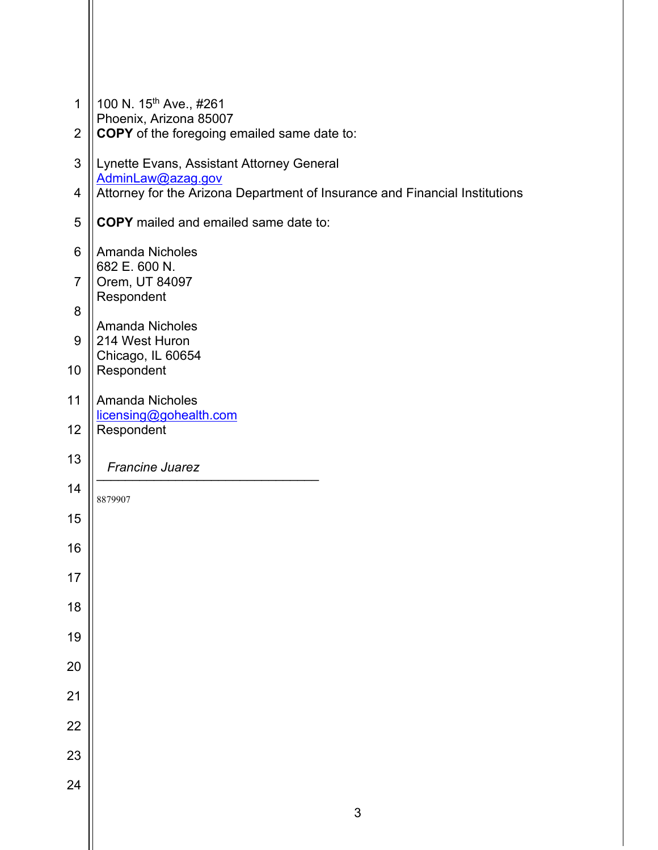| 1              | 100 N. 15 <sup>th</sup> Ave., #261<br>Phoenix, Arizona 85007                |
|----------------|-----------------------------------------------------------------------------|
| $\overline{2}$ | <b>COPY</b> of the foregoing emailed same date to:                          |
| 3              | Lynette Evans, Assistant Attorney General<br>AdminLaw@azag.gov              |
| $\overline{4}$ | Attorney for the Arizona Department of Insurance and Financial Institutions |
| 5              | <b>COPY</b> mailed and emailed same date to:                                |
| 6              | <b>Amanda Nicholes</b><br>682 E. 600 N.                                     |
| $\overline{7}$ | Orem, UT 84097<br>Respondent                                                |
| 8              | <b>Amanda Nicholes</b>                                                      |
| 9              | 214 West Huron<br>Chicago, IL 60654                                         |
| 10             | Respondent                                                                  |
| 11             | <b>Amanda Nicholes</b><br>licensing@gohealth.com                            |
| 12             | Respondent                                                                  |
| 13             | <b>Francine Juarez</b>                                                      |
| 14             | 8879907                                                                     |
| 15             |                                                                             |
| 16             |                                                                             |
| 17             |                                                                             |
| 18             |                                                                             |
| 19             |                                                                             |
| 20             |                                                                             |
| 21             |                                                                             |
| 22             |                                                                             |
| 23             |                                                                             |
| 24             |                                                                             |
|                | 3                                                                           |
|                |                                                                             |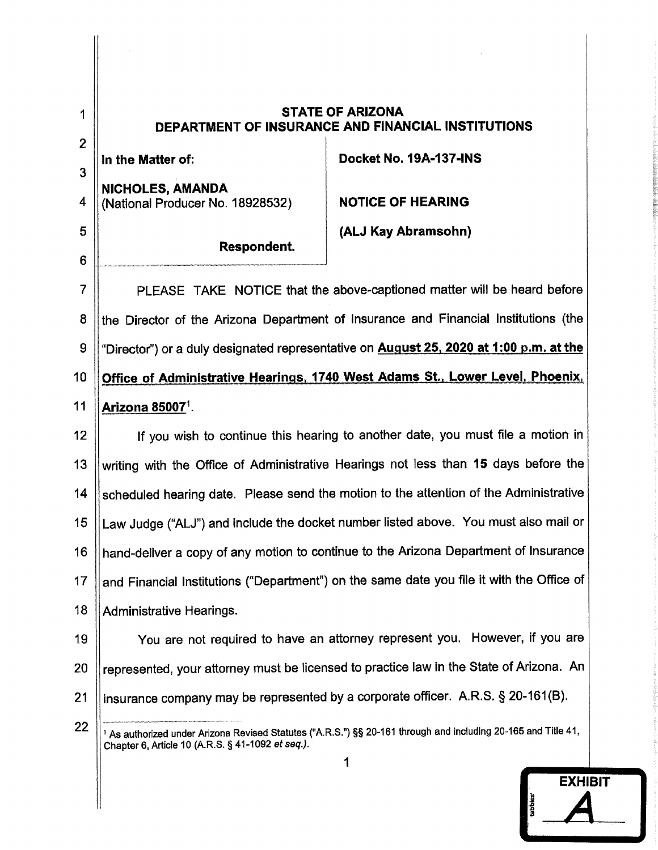| 1<br>$\overline{2}$ | <b>STATE OF ARIZONA</b><br>DEPARTMENT OF INSURANCE AND FINANCIAL INSTITUTIONS                                             |                                                                                         |
|---------------------|---------------------------------------------------------------------------------------------------------------------------|-----------------------------------------------------------------------------------------|
| 3                   | In the Matter of:                                                                                                         | Docket No. 19A-137-INS                                                                  |
| 4                   | <b>NICHOLES, AMANDA</b><br>(National Producer No. 18928532)                                                               | <b>NOTICE OF HEARING</b>                                                                |
| 5                   |                                                                                                                           | (ALJ Kay Abramsohn)                                                                     |
| 6                   | Respondent.                                                                                                               |                                                                                         |
| $\overline{7}$      |                                                                                                                           | PLEASE TAKE NOTICE that the above-captioned matter will be heard before                 |
| 8                   |                                                                                                                           | the Director of the Arizona Department of Insurance and Financial Institutions (the     |
| 9                   | "Director") or a duly designated representative on <b>August 25, 2020 at 1:00 p.m. at the</b>                             |                                                                                         |
| 10                  | Office of Administrative Hearings, 1740 West Adams St., Lower Level, Phoenix,                                             |                                                                                         |
| 11                  | Arizona 85007 <sup>1</sup> .                                                                                              |                                                                                         |
| 12                  | If you wish to continue this hearing to another date, you must file a motion in                                           |                                                                                         |
| 13                  | writing with the Office of Administrative Hearings not less than 15 days before the                                       |                                                                                         |
| 14                  | scheduled hearing date. Please send the motion to the attention of the Administrative                                     |                                                                                         |
| 15                  | Law Judge ("ALJ") and include the docket number listed above. You must also mail or                                       |                                                                                         |
| 16                  |                                                                                                                           | hand-deliver a copy of any motion to continue to the Arizona Department of Insurance    |
| 17                  | and Financial Institutions ("Department") on the same date you file it with the Office of                                 |                                                                                         |
| 18                  | <b>Administrative Hearings.</b>                                                                                           |                                                                                         |
| 19                  | You are not required to have an attorney represent you. However, if you are                                               |                                                                                         |
| 20                  |                                                                                                                           | represented, your attorney must be licensed to practice law in the State of Arizona. An |
| 21                  | insurance company may be represented by a corporate officer. A.R.S. § 20-161(B).                                          |                                                                                         |
| 22                  | <sup>1</sup> As authorized under Arizona Revised Statutes ("A.R.S.") §§ 20-161 through and including 20-165 and Title 41, |                                                                                         |
|                     | Chapter 6, Article 10 (A.R.S. § 41-1092 et seq.).<br>1                                                                    |                                                                                         |

1

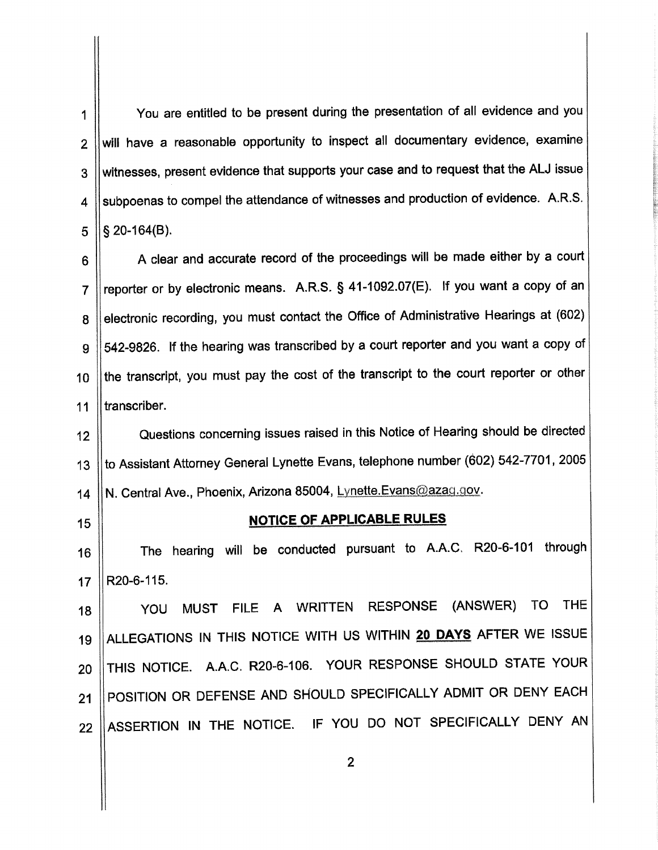You are entitled to be present during the presentation of all evidence and you 1 will have a reasonable opportunity to inspect all documentary evidence, examine  $\overline{2}$ witnesses, present evidence that supports your case and to request that the ALJ issue 3 subpoenas to compel the attendance of witnesses and production of evidence. A.R.S.  $\boldsymbol{\mathcal{A}}$  $\S$  20-164(B). 5

A clear and accurate record of the proceedings will be made either by a court 6 reporter or by electronic means. A.R.S. § 41-1092.07(E). If you want a copy of an  $\overline{7}$ electronic recording, you must contact the Office of Administrative Hearings at (602) 8 542-9826. If the hearing was transcribed by a court reporter and you want a copy of 9 the transcript, you must pay the cost of the transcript to the court reporter or other  $10$ transcriber.  $11$ 

Questions concerning issues raised in this Notice of Hearing should be directed  $12<sup>2</sup>$ to Assistant Attorney General Lynette Evans, telephone number (602) 542-7701, 2005  $13$ N. Central Ave., Phoenix, Arizona 85004, Lynette.Evans@azag.gov.  $14$ 

 $15<sub>15</sub>$ 

## NOTICE OF APPLICABLE RULES

The hearing will be conducted pursuant to A.A.C. R20-6-101 through 16 R20-6-115.  $17$ 

MUST FILE A WRITTEN RESPONSE (ANSWER) TO THE YOU 18 ALLEGATIONS IN THIS NOTICE WITH US WITHIN 20 DAYS AFTER WE ISSUE 19 THIS NOTICE. A.A.C. R20-6-106. YOUR RESPONSE SHOULD STATE YOUR 20 POSITION OR DEFENSE AND SHOULD SPECIFICALLY ADMIT OR DENY EACH  $21$ ASSERTION IN THE NOTICE. IF YOU DO NOT SPECIFICALLY DENY AN 22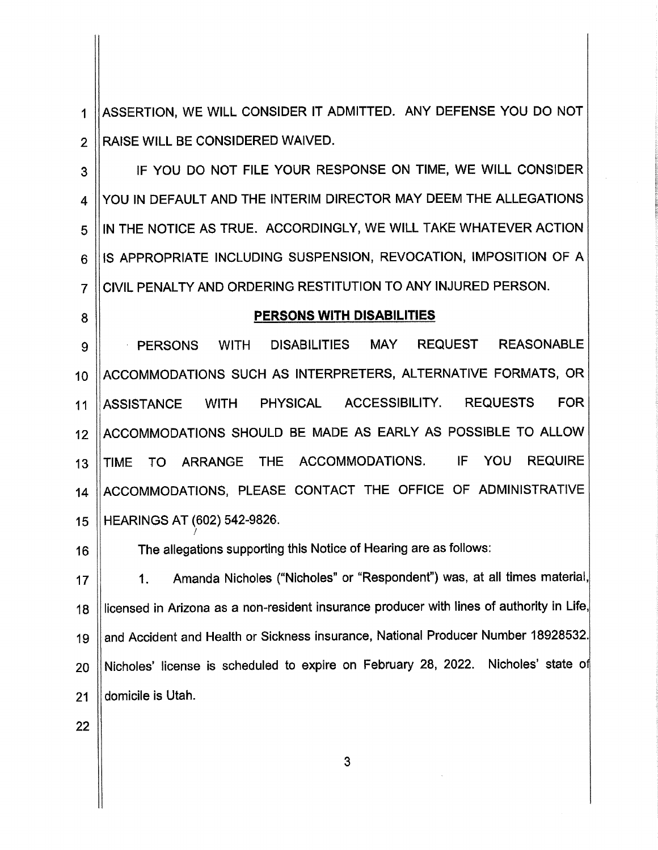ASSERTION, WE WILL CONSIDER IT ADMITTED. ANY DEFENSE YOU DO NOT  $\mathbf{1}$ RAISE WILL BE CONSIDERED WAIVED.  $\overline{2}$ 

IF YOU DO NOT FILE YOUR RESPONSE ON TIME, WE WILL CONSIDER 3 YOU IN DEFAULT AND THE INTERIM DIRECTOR MAY DEEM THE ALLEGATIONS 4 IN THE NOTICE AS TRUE. ACCORDINGLY, WE WILL TAKE WHATEVER ACTION 5 IS APPROPRIATE INCLUDING SUSPENSION, REVOCATION, IMPOSITION OF A 6 CIVIL PENALTY AND ORDERING RESTITUTION TO ANY INJURED PERSON.  $\overline{7}$ 

8

## PERSONS WITH DISABILITIES

**MAY REASONABLE PERSONS WITH DISABILITIES REQUEST** 9 ACCOMMODATIONS SUCH AS INTERPRETERS, ALTERNATIVE FORMATS, OR  $10<sup>1</sup>$ **ASSISTANCE WITH PHYSICAL** ACCESSIBILITY. **REQUESTS FOR**  $11$ ACCOMMODATIONS SHOULD BE MADE AS EARLY AS POSSIBLE TO ALLOW  $12<sup>°</sup>$ IF YOU **REQUIRE** ARRANGE THE ACCOMMODATIONS. **TIME** TO  $13$ ACCOMMODATIONS, PLEASE CONTACT THE OFFICE OF ADMINISTRATIVE  $14$ HEARINGS AT (602) 542-9826. 15

16

The allegations supporting this Notice of Hearing are as follows:

Amanda Nicholes ("Nicholes" or "Respondent") was, at all times material,  $1.$  $17$ licensed in Arizona as a non-resident insurance producer with lines of authority in Life. 18 and Accident and Health or Sickness insurance, National Producer Number 18928532. 19 Nicholes' license is scheduled to expire on February 28, 2022. Nicholes' state of 20 domicile is Utah. 21

22

3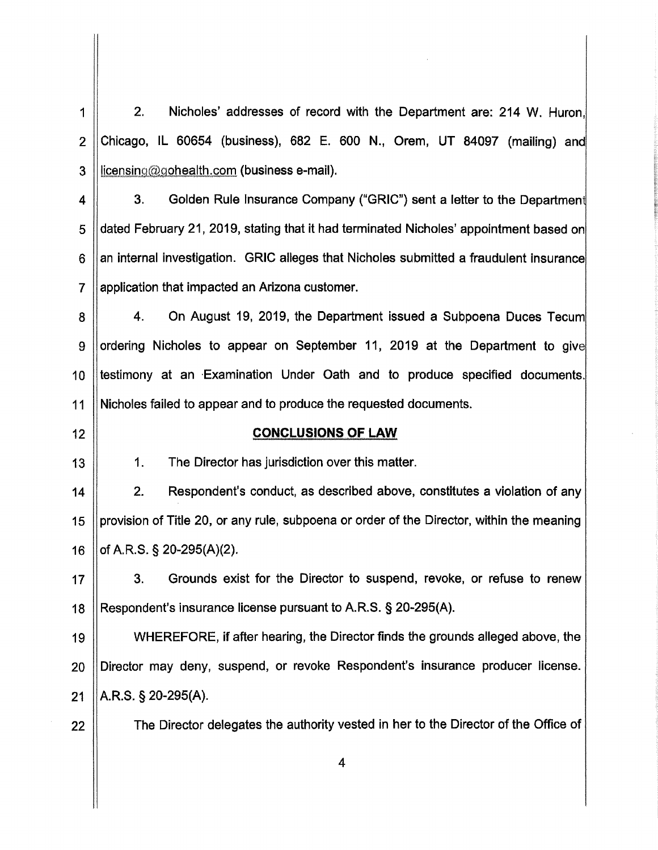$2.$ Nicholes' addresses of record with the Department are: 214 W. Huron,  $\mathbf 1$  $\overline{2}$ Chicago, IL 60654 (business), 682 E. 600 N., Orem, UT 84097 (mailing) and licensing@gohealth.com (business e-mail). 3

3. Golden Rule Insurance Company ("GRIC") sent a letter to the Department 4 dated February 21, 2019, stating that it had terminated Nicholes' appointment based on 5 an internal investigation. GRIC alleges that Nicholes submitted a fraudulent insurance 6.  $\overline{7}$ application that impacted an Arizona customer.

On August 19, 2019, the Department issued a Subpoena Duces Tecum  $\mathbf{4}$ . 8 ordering Nicholes to appear on September 11, 2019 at the Department to give 9 10 testimony at an Examination Under Oath and to produce specified documents. Nicholes failed to appear and to produce the requested documents.  $11$ 

 $12<sub>2</sub>$ 

## **CONCLUSIONS OF LAW**

13

 $1<sub>1</sub>$ 

The Director has jurisdiction over this matter.

 $14$  $2.$ Respondent's conduct, as described above, constitutes a violation of any provision of Title 20, or any rule, subpoena or order of the Director, within the meaning 15 of A.R.S. § 20-295(A)(2).  $16$ 

 $3.$ Grounds exist for the Director to suspend, revoke, or refuse to renew  $17$ 18 Respondent's insurance license pursuant to A.R.S. § 20-295(A).

19 WHEREFORE, if after hearing, the Director finds the grounds alleged above, the Director may deny, suspend, or revoke Respondent's insurance producer license. 20 A.R.S.  $\S$  20-295(A). 21

22

The Director delegates the authority vested in her to the Director of the Office of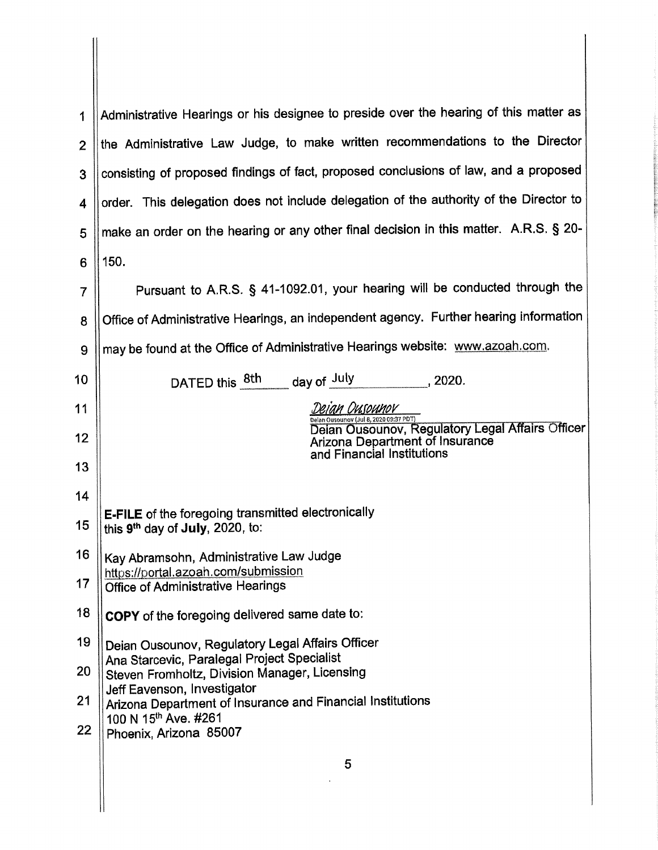| 1              | Administrative Hearings or his designee to preside over the hearing of this matter as                                      |  |  |
|----------------|----------------------------------------------------------------------------------------------------------------------------|--|--|
| $\mathbf{2}$   | the Administrative Law Judge, to make written recommendations to the Director                                              |  |  |
| 3              | consisting of proposed findings of fact, proposed conclusions of law, and a proposed                                       |  |  |
| 4              | order. This delegation does not include delegation of the authority of the Director to                                     |  |  |
| 5              | make an order on the hearing or any other final decision in this matter. A.R.S. § 20-                                      |  |  |
| 6              | 150.                                                                                                                       |  |  |
| $\overline{7}$ | Pursuant to A.R.S. § 41-1092.01, your hearing will be conducted through the                                                |  |  |
| 8              | Office of Administrative Hearings, an independent agency. Further hearing information                                      |  |  |
| 9              | may be found at the Office of Administrative Hearings website: www.azoah.com.                                              |  |  |
| 10             | DATED this 8th day of July<br>$\frac{1}{2020}$ , 2020.                                                                     |  |  |
| 11             | Deian Dusounov                                                                                                             |  |  |
| 12             | Delan Ousounov (Jul 8, 2020 09:37 PDT)<br>Delan Ousounov (Jul 8, 2020 09:37 PDT)<br><b>Arizona Department of Insurance</b> |  |  |
| 13             | and Financial Institutions                                                                                                 |  |  |
| 14             |                                                                                                                            |  |  |
| 15             | <b>E-FILE</b> of the foregoing transmitted electronically<br>this 9 <sup>th</sup> day of July, 2020, to:                   |  |  |
| 16             | Kay Abramsohn, Administrative Law Judge                                                                                    |  |  |
| 17             | https://portal.azoah.com/submission<br><b>Office of Administrative Hearings</b>                                            |  |  |
| 18             | COPY of the foregoing delivered same date to:                                                                              |  |  |
| 19             | Deian Ousounov, Regulatory Legal Affairs Officer                                                                           |  |  |
| 20             | Ana Starcevic, Paralegal Project Specialist<br>Steven Fromholtz, Division Manager, Licensing                               |  |  |
| 21             | Jeff Eavenson, Investigator<br>Arizona Department of Insurance and Financial Institutions                                  |  |  |
| 22             | 100 N 15th Ave. #261<br>Phoenix, Arizona 85007                                                                             |  |  |
|                | 5                                                                                                                          |  |  |
|                |                                                                                                                            |  |  |
|                |                                                                                                                            |  |  |

 $\mathbf{||}$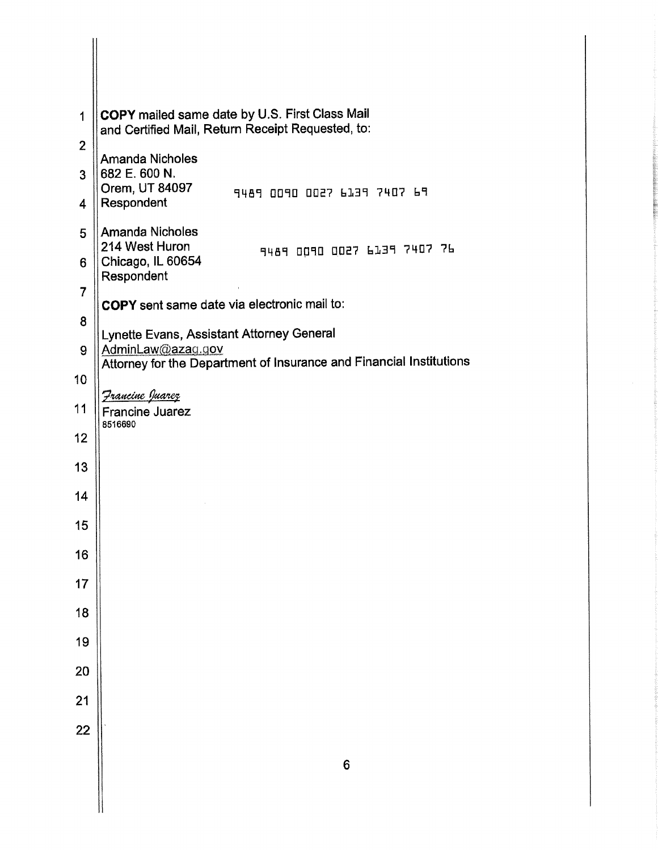| 1               | <b>COPY</b> mailed same date by U.S. First Class Mail<br>and Certified Mail, Return Receipt Requested, to:                            |
|-----------------|---------------------------------------------------------------------------------------------------------------------------------------|
| $\overline{2}$  | <b>Amanda Nicholes</b>                                                                                                                |
| 3               | 682 E. 600 N.                                                                                                                         |
| 4               | Orem, UT 84097<br>9489 0090 0027 6139 7407 69<br>Respondent                                                                           |
| 5               | Amanda Nicholes<br>214 West Huron<br>9489 0090 0027 6139 7407 76                                                                      |
| 6               | Chicago, IL 60654<br>Respondent                                                                                                       |
| $\overline{7}$  | COPY sent same date via electronic mail to:                                                                                           |
| 8               |                                                                                                                                       |
| 9               | Lynette Evans, Assistant Attorney General<br>AdminLaw@azag.gov<br>Attorney for the Department of Insurance and Financial Institutions |
| 10              |                                                                                                                                       |
| 11              | <u>Francine Juarez</u><br><b>Francine Juarez</b>                                                                                      |
| 12              | 8516690                                                                                                                               |
| 13              |                                                                                                                                       |
| 14              |                                                                                                                                       |
| 15              |                                                                                                                                       |
| 16              |                                                                                                                                       |
| 17              |                                                                                                                                       |
| 18              |                                                                                                                                       |
| 19              |                                                                                                                                       |
| 20              |                                                                                                                                       |
| 21              |                                                                                                                                       |
| $\overline{22}$ |                                                                                                                                       |
|                 | $6\phantom{a}$                                                                                                                        |
|                 |                                                                                                                                       |
|                 |                                                                                                                                       |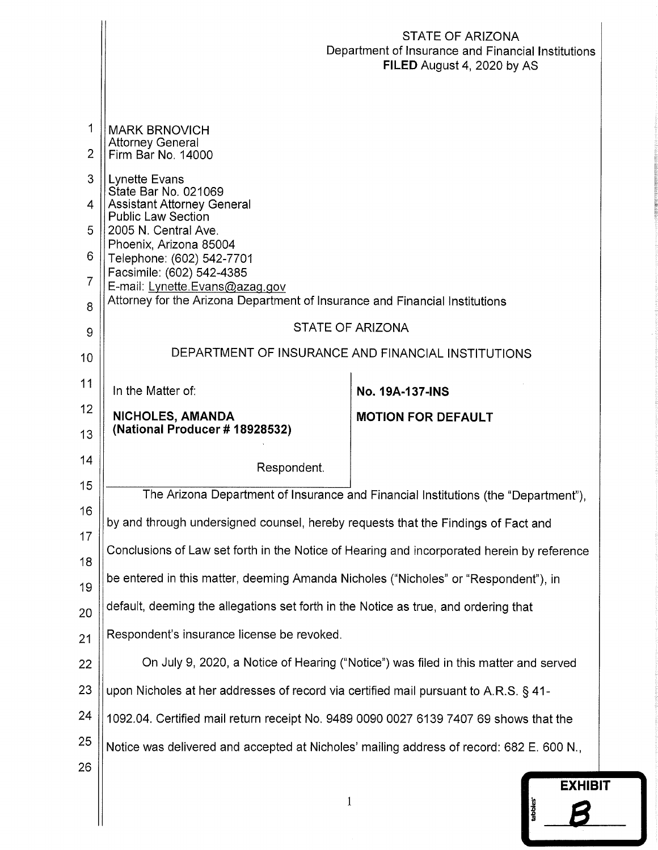|                                                                      |                                                                                                                                                                                                                                                                                                                                                                                                                                                                                                                                                                                                                                                                                                                                                                                                                                                                                         | STATE OF ARIZONA<br>Department of Insurance and Financial Institutions<br>FILED August 4, 2020 by AS |  |
|----------------------------------------------------------------------|-----------------------------------------------------------------------------------------------------------------------------------------------------------------------------------------------------------------------------------------------------------------------------------------------------------------------------------------------------------------------------------------------------------------------------------------------------------------------------------------------------------------------------------------------------------------------------------------------------------------------------------------------------------------------------------------------------------------------------------------------------------------------------------------------------------------------------------------------------------------------------------------|------------------------------------------------------------------------------------------------------|--|
| 1<br>2                                                               | <b>MARK BRNOVICH</b><br><b>Attorney General</b><br>Firm Bar No. 14000                                                                                                                                                                                                                                                                                                                                                                                                                                                                                                                                                                                                                                                                                                                                                                                                                   |                                                                                                      |  |
| 3<br>4<br>5<br>6<br>7                                                | Lynette Evans<br>State Bar No. 021069<br><b>Assistant Attorney General</b><br><b>Public Law Section</b><br>2005 N. Central Ave.<br>Phoenix, Arizona 85004<br>Telephone: (602) 542-7701<br>Facsimile: (602) 542-4385<br>E-mail: Lynette.Evans@azag.gov                                                                                                                                                                                                                                                                                                                                                                                                                                                                                                                                                                                                                                   |                                                                                                      |  |
| 8                                                                    | Attorney for the Arizona Department of Insurance and Financial Institutions                                                                                                                                                                                                                                                                                                                                                                                                                                                                                                                                                                                                                                                                                                                                                                                                             |                                                                                                      |  |
| 9<br>10                                                              | STATE OF ARIZONA                                                                                                                                                                                                                                                                                                                                                                                                                                                                                                                                                                                                                                                                                                                                                                                                                                                                        | DEPARTMENT OF INSURANCE AND FINANCIAL INSTITUTIONS                                                   |  |
| 11                                                                   | In the Matter of:                                                                                                                                                                                                                                                                                                                                                                                                                                                                                                                                                                                                                                                                                                                                                                                                                                                                       | No. 19A-137-INS                                                                                      |  |
| 12<br>13                                                             | NICHOLES, AMANDA<br>(National Producer # 18928532)                                                                                                                                                                                                                                                                                                                                                                                                                                                                                                                                                                                                                                                                                                                                                                                                                                      | <b>MOTION FOR DEFAULT</b>                                                                            |  |
| 14                                                                   | Respondent.                                                                                                                                                                                                                                                                                                                                                                                                                                                                                                                                                                                                                                                                                                                                                                                                                                                                             |                                                                                                      |  |
| 15<br>16<br>17<br>18<br>19<br>20<br>21<br>22<br>23<br>24<br>25<br>26 | The Arizona Department of Insurance and Financial Institutions (the "Department"),<br>by and through undersigned counsel, hereby requests that the Findings of Fact and<br>Conclusions of Law set forth in the Notice of Hearing and incorporated herein by reference<br>be entered in this matter, deeming Amanda Nicholes ("Nicholes" or "Respondent"), in<br>default, deeming the allegations set forth in the Notice as true, and ordering that<br>Respondent's insurance license be revoked.<br>On July 9, 2020, a Notice of Hearing ("Notice") was filed in this matter and served<br>upon Nicholes at her addresses of record via certified mail pursuant to A.R.S. § 41-<br>1092.04. Certified mail return receipt No. 9489 0090 0027 6139 7407 69 shows that the<br>Notice was delivered and accepted at Nicholes' mailing address of record: 682 E. 600 N.,<br><b>EXHIBIT</b> |                                                                                                      |  |
|                                                                      | $\mathbf{1}$                                                                                                                                                                                                                                                                                                                                                                                                                                                                                                                                                                                                                                                                                                                                                                                                                                                                            | tabbles <sup>-</sup>                                                                                 |  |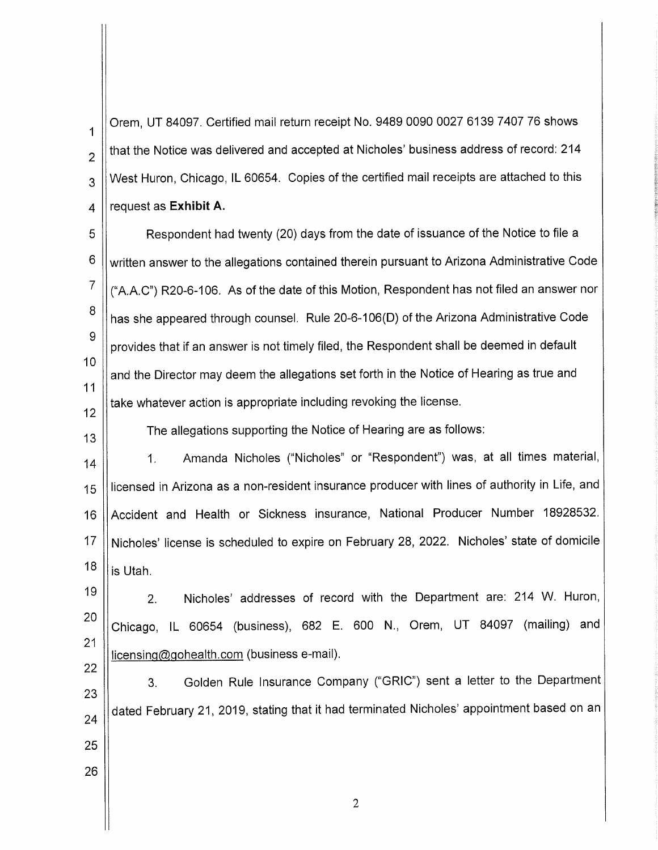Orem. UT 84097. Certified mail return receipt No. 9489 0090 0027 6139 7407 76 shows that the Notice was delivered and accepted at Nicholes' business address of record: 214 West Huron, Chicago, IL 60654. Copies of the certified mail receipts are attached to this request as Exhibit A.

 $\mathbf{1}$ 

 $\overline{2}$ 

 $\overline{3}$ 

 $\overline{4}$ 

 $12<sup>2</sup>$ 

 $13$ 

22

26

5 Respondent had twenty (20) days from the date of issuance of the Notice to file a 6 written answer to the allegations contained therein pursuant to Arizona Administrative Code  $\overline{7}$ ("A.A.C") R20-6-106. As of the date of this Motion, Respondent has not filed an answer nor 8 has she appeared through counsel. Rule 20-6-106(D) of the Arizona Administrative Code 9 provides that if an answer is not timely filed, the Respondent shall be deemed in default  $10$ and the Director may deem the allegations set forth in the Notice of Hearing as true and  $11$ take whatever action is appropriate including revoking the license.

The allegations supporting the Notice of Hearing are as follows:

Amanda Nicholes ("Nicholes" or "Respondent") was, at all times material,  $1<sub>r</sub>$  $14$ licensed in Arizona as a non-resident insurance producer with lines of authority in Life, and 15 Accident and Health or Sickness insurance, National Producer Number 18928532. 16 17 Nicholes' license is scheduled to expire on February 28, 2022. Nicholes' state of domicile 18 is Utah.

19 Nicholes' addresses of record with the Department are: 214 W. Huron,  $2.$ 20 Chicago, IL 60654 (business), 682 E. 600 N., Orem, UT 84097 (mailing) and 21 licensing@gohealth.com (business e-mail).

Golden Rule Insurance Company ("GRIC") sent a letter to the Department  $3.$ 23 dated February 21, 2019, stating that it had terminated Nicholes' appointment based on an 24 25

 $\overline{2}$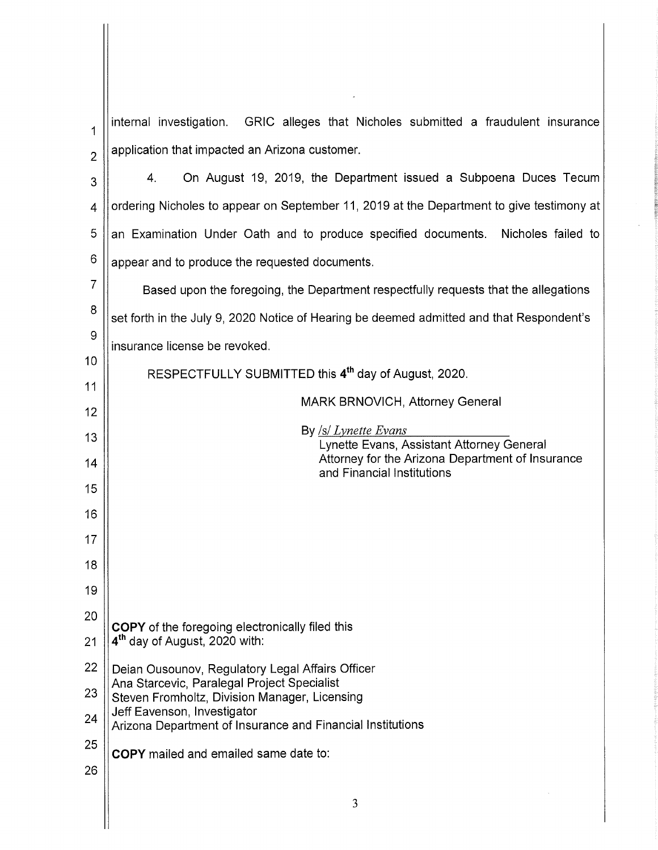internal investigation. GRIC alleges that Nicholes submitted a fraudulent insurance  $\mathbf 1$ application that impacted an Arizona customer.  $\overline{2}$ 

4. On August 19, 2019, the Department issued a Subpoena Duces Tecum 3 ordering Nicholes to appear on September 11, 2019 at the Department to give testimony at  $\overline{4}$ 5 an Examination Under Oath and to produce specified documents. Nicholes failed to 6 appear and to produce the requested documents.

 $\overline{7}$ Based upon the foregoing, the Department respectfully requests that the allegations 8 set forth in the July 9, 2020 Notice of Hearing be deemed admitted and that Respondent's 9 insurance license be revoked.

> RESPECTFULLY SUBMITTED this 4<sup>th</sup> day of August, 2020. MARK BRNOVICH, Attorney General By  $\frac{|S|}{L}$ *ynette Evans* Lynette Evans, Assistant Attorney General Attorney for the Arizona Department of Insurance and Financial Institutions

- 19 20 COPY of the foregoing electronically filed this
- 4<sup>th</sup> day of August, 2020 with:  $21$
- 22 Deian Ousounov, Regulatory Legal Affairs Officer Ana Starcevic, Paralegal Project Specialist
- 23 Steven Fromholtz, Division Manager, Licensing Jeff Eavenson, Investigator 24
- Arizona Department of Insurance and Financial Institutions
- 25 **COPY** mailed and emailed same date to:
- 26

10

 $11$ 

 $12$ 

 $13$ 

14

15

16

17

18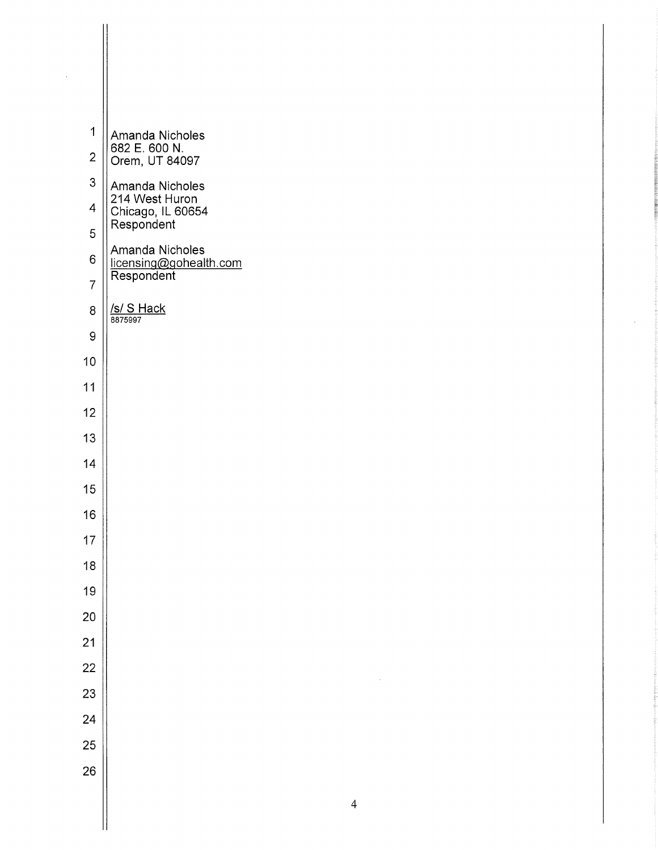| $\mathbf 1$    | Amanda Nicholes                           |
|----------------|-------------------------------------------|
| $\overline{c}$ | 682 E. 600 N.<br>Orem, UT 84097           |
| 3              | Amanda Nicholes                           |
| 4              | 214 West Huron<br>Chicago, IL 60654       |
| 5              | Respondent                                |
| 6              | Amanda Nicholes<br>licensing@gohealth.com |
| $\overline{7}$ | Respondent                                |
| 8              | <b>/s/ S Hack</b><br>8875997              |
| 9              |                                           |
| 10             |                                           |
| 11             |                                           |
| 12             |                                           |
| 13             |                                           |
| 14             |                                           |
| 15             |                                           |
| 16             |                                           |
| 17             |                                           |
| 18             |                                           |
| 19             |                                           |
| 20             |                                           |
| 21             |                                           |
| 22             |                                           |
| 23             |                                           |
| 24             |                                           |
| 25             |                                           |
| 26             |                                           |
|                |                                           |

 $\frac{1}{2}$ 

 $\bar{z}$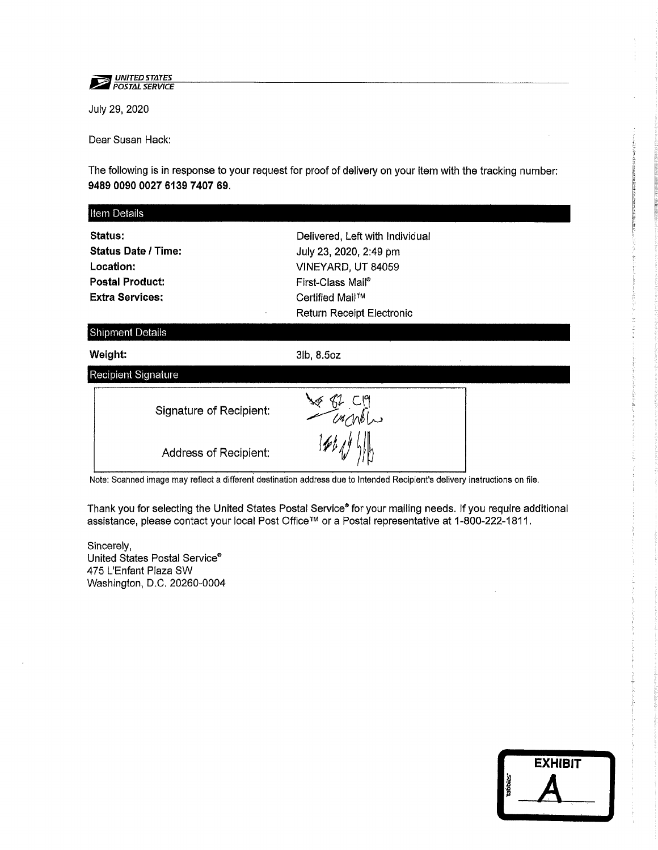

July 29, 2020

Dear Susan Hack:

The following is in response to your request for proof of delivery on your item with the tracking number: 9489 0090 0027 6139 7407 69.

| Item Details                                                                                                  |                                                                                                                                                             |  |
|---------------------------------------------------------------------------------------------------------------|-------------------------------------------------------------------------------------------------------------------------------------------------------------|--|
| <b>Status:</b><br><b>Status Date / Time:</b><br>Location:<br><b>Postal Product:</b><br><b>Extra Services;</b> | Delivered, Left with Individual<br>July 23, 2020, 2:49 pm<br>VINEYARD, UT 84059<br>First-Class Mail®<br>Certified Mail™<br><b>Return Receipt Electronic</b> |  |
| <b>Shipment Details</b>                                                                                       |                                                                                                                                                             |  |
| Weight:                                                                                                       | 3lb, 8.5oz                                                                                                                                                  |  |
| <b>Recipient Signature</b>                                                                                    |                                                                                                                                                             |  |
| Signature of Recipient:                                                                                       |                                                                                                                                                             |  |
| Address of Recipient:                                                                                         |                                                                                                                                                             |  |

Note: Scanned image may reflect a different destination address due to Intended Recipient's delivery instructions on file.

Thank you for selecting the United States Postal Service® for your mailing needs. If you require additional assistance, please contact your local Post Office™ or a Postal representative at 1-800-222-1811.

Sincerely, United States Postal Service® 475 L'Enfant Plaza SW Washington, D.C. 20260-0004

|         | <b>EXHIBIT</b>          |
|---------|-------------------------|
| tabbies |                         |
|         | $\mathbf{r}_\mathrm{c}$ |
|         |                         |